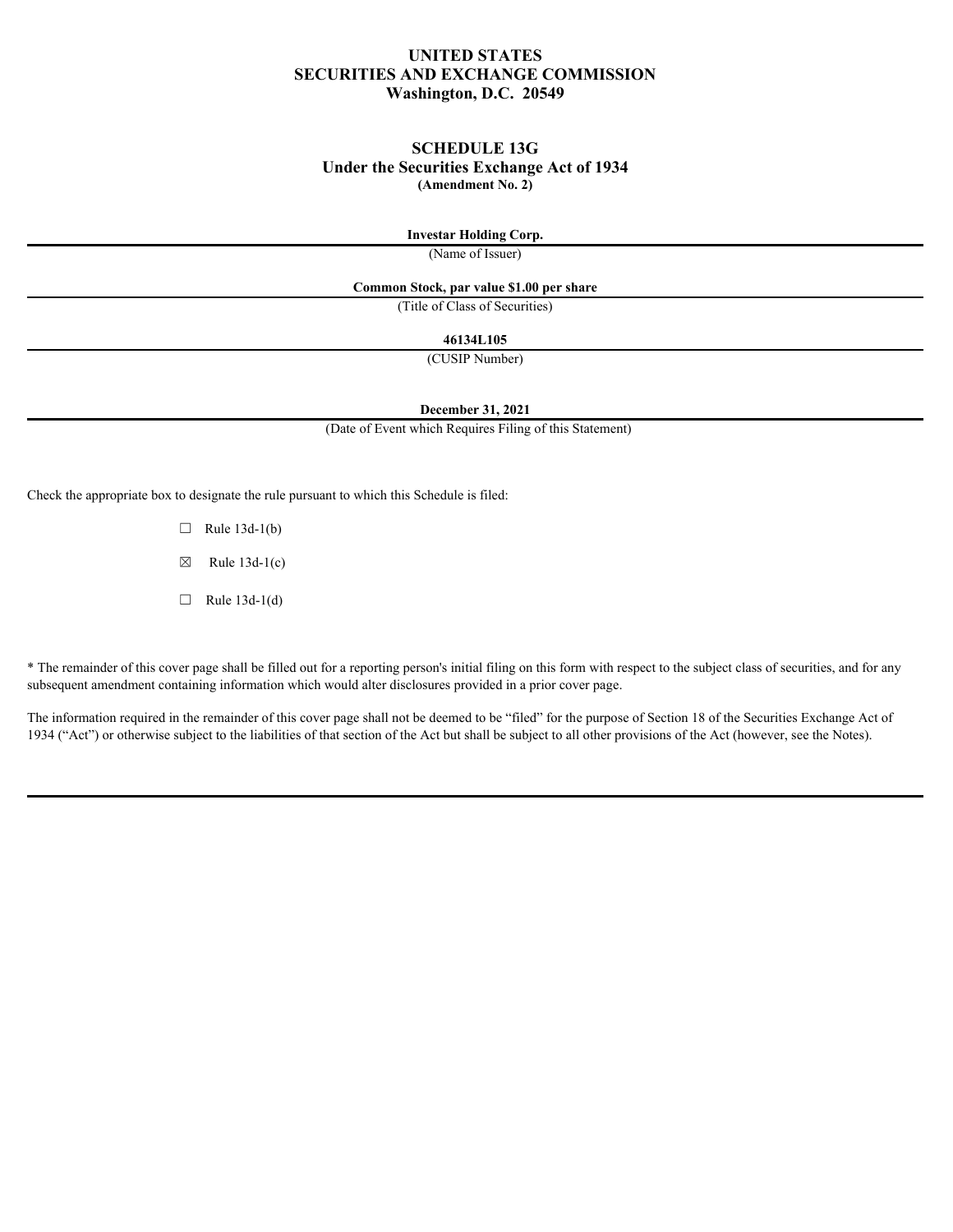# **UNITED STATES SECURITIES AND EXCHANGE COMMISSION Washington, D.C. 20549**

# **SCHEDULE 13G Under the Securities Exchange Act of 1934 (Amendment No. 2)**

#### **Investar Holding Corp.**

(Name of Issuer)

#### **Common Stock, par value \$1.00 per share**

(Title of Class of Securities)

#### **46134L105**

(CUSIP Number)

# **December 31, 2021**

(Date of Event which Requires Filing of this Statement)

Check the appropriate box to designate the rule pursuant to which this Schedule is filed:

 $\Box$  Rule 13d-1(b)

 $\boxtimes$  Rule 13d-1(c)

 $\Box$  Rule 13d-1(d)

\* The remainder of this cover page shall be filled out for a reporting person's initial filing on this form with respect to the subject class of securities, and for any subsequent amendment containing information which would alter disclosures provided in a prior cover page.

The information required in the remainder of this cover page shall not be deemed to be "filed" for the purpose of Section 18 of the Securities Exchange Act of 1934 ("Act") or otherwise subject to the liabilities of that section of the Act but shall be subject to all other provisions of the Act (however, see the Notes).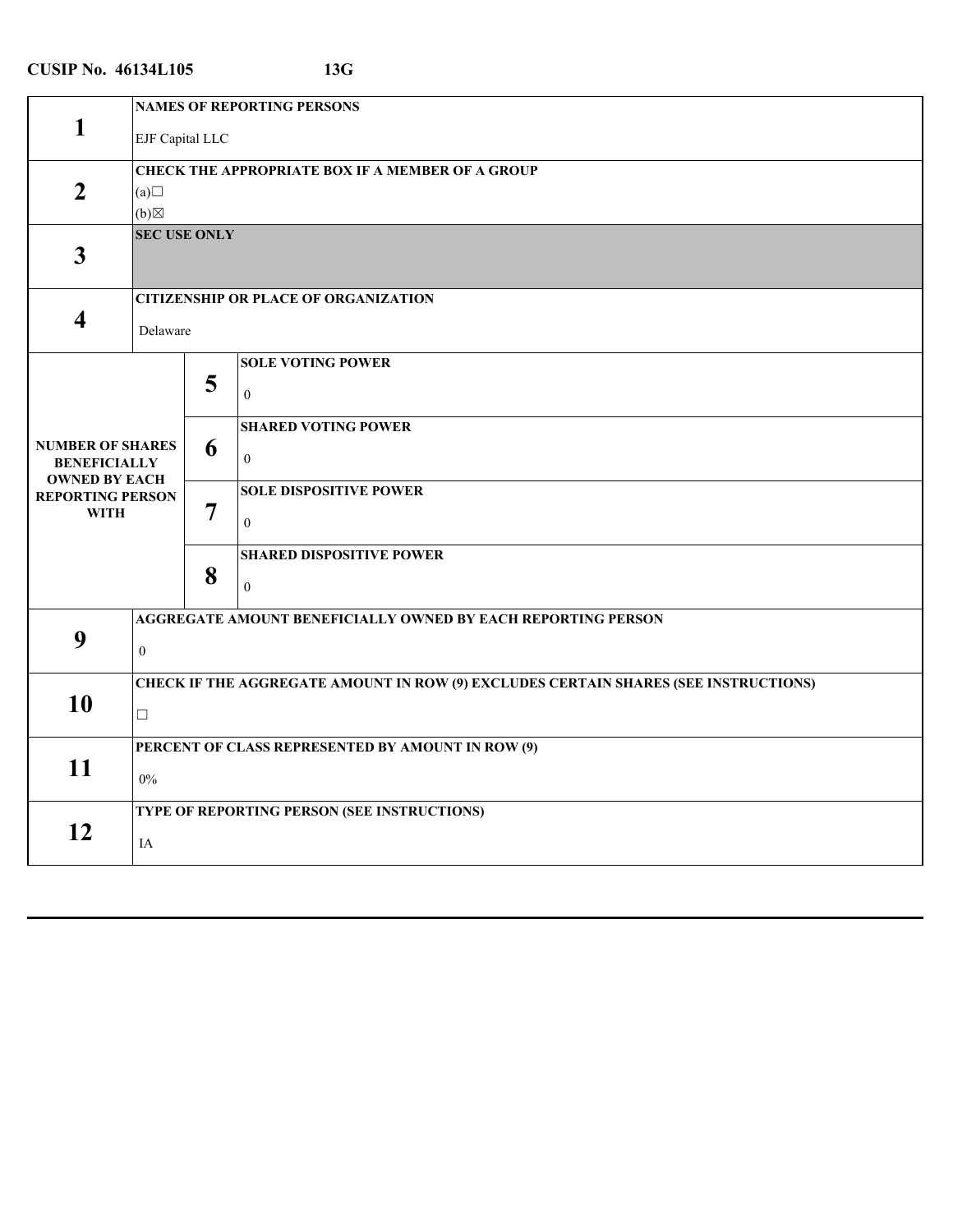| <b>NAMES OF REPORTING PERSONS</b><br>1<br><b>EJF</b> Capital LLC<br><b>CHECK THE APPROPRIATE BOX IF A MEMBER OF A GROUP</b><br>$\overline{2}$<br>(a)<br>(b)<br><b>SEC USE ONLY</b><br>$\mathbf{3}$<br><b>CITIZENSHIP OR PLACE OF ORGANIZATION</b><br>$\overline{\mathbf{4}}$<br>Delaware<br><b>SOLE VOTING POWER</b><br>5<br>$\boldsymbol{0}$<br><b>SHARED VOTING POWER</b><br><b>NUMBER OF SHARES</b><br>6<br>$\mathbf{0}$<br><b>BENEFICIALLY</b><br><b>OWNED BY EACH</b><br><b>SOLE DISPOSITIVE POWER</b><br><b>REPORTING PERSON</b><br>$\overline{7}$<br><b>WITH</b><br>$\overline{0}$<br><b>SHARED DISPOSITIVE POWER</b><br>8<br>$\theta$<br>AGGREGATE AMOUNT BENEFICIALLY OWNED BY EACH REPORTING PERSON<br>9<br>$\mathbf{0}$<br><b>CHECK IF THE AGGREGATE AMOUNT IN ROW (9) EXCLUDES CERTAIN SHARES (SEE INSTRUCTIONS)</b><br>10<br>$\Box$<br>PERCENT OF CLASS REPRESENTED BY AMOUNT IN ROW (9)<br>11<br>$0\%$<br>TYPE OF REPORTING PERSON (SEE INSTRUCTIONS)<br>12<br>IA |  |  |  |  |
|---------------------------------------------------------------------------------------------------------------------------------------------------------------------------------------------------------------------------------------------------------------------------------------------------------------------------------------------------------------------------------------------------------------------------------------------------------------------------------------------------------------------------------------------------------------------------------------------------------------------------------------------------------------------------------------------------------------------------------------------------------------------------------------------------------------------------------------------------------------------------------------------------------------------------------------------------------------------------------|--|--|--|--|
|                                                                                                                                                                                                                                                                                                                                                                                                                                                                                                                                                                                                                                                                                                                                                                                                                                                                                                                                                                                 |  |  |  |  |
|                                                                                                                                                                                                                                                                                                                                                                                                                                                                                                                                                                                                                                                                                                                                                                                                                                                                                                                                                                                 |  |  |  |  |
|                                                                                                                                                                                                                                                                                                                                                                                                                                                                                                                                                                                                                                                                                                                                                                                                                                                                                                                                                                                 |  |  |  |  |
|                                                                                                                                                                                                                                                                                                                                                                                                                                                                                                                                                                                                                                                                                                                                                                                                                                                                                                                                                                                 |  |  |  |  |
|                                                                                                                                                                                                                                                                                                                                                                                                                                                                                                                                                                                                                                                                                                                                                                                                                                                                                                                                                                                 |  |  |  |  |
|                                                                                                                                                                                                                                                                                                                                                                                                                                                                                                                                                                                                                                                                                                                                                                                                                                                                                                                                                                                 |  |  |  |  |
|                                                                                                                                                                                                                                                                                                                                                                                                                                                                                                                                                                                                                                                                                                                                                                                                                                                                                                                                                                                 |  |  |  |  |
|                                                                                                                                                                                                                                                                                                                                                                                                                                                                                                                                                                                                                                                                                                                                                                                                                                                                                                                                                                                 |  |  |  |  |
|                                                                                                                                                                                                                                                                                                                                                                                                                                                                                                                                                                                                                                                                                                                                                                                                                                                                                                                                                                                 |  |  |  |  |
|                                                                                                                                                                                                                                                                                                                                                                                                                                                                                                                                                                                                                                                                                                                                                                                                                                                                                                                                                                                 |  |  |  |  |
|                                                                                                                                                                                                                                                                                                                                                                                                                                                                                                                                                                                                                                                                                                                                                                                                                                                                                                                                                                                 |  |  |  |  |
|                                                                                                                                                                                                                                                                                                                                                                                                                                                                                                                                                                                                                                                                                                                                                                                                                                                                                                                                                                                 |  |  |  |  |
|                                                                                                                                                                                                                                                                                                                                                                                                                                                                                                                                                                                                                                                                                                                                                                                                                                                                                                                                                                                 |  |  |  |  |
|                                                                                                                                                                                                                                                                                                                                                                                                                                                                                                                                                                                                                                                                                                                                                                                                                                                                                                                                                                                 |  |  |  |  |
|                                                                                                                                                                                                                                                                                                                                                                                                                                                                                                                                                                                                                                                                                                                                                                                                                                                                                                                                                                                 |  |  |  |  |
|                                                                                                                                                                                                                                                                                                                                                                                                                                                                                                                                                                                                                                                                                                                                                                                                                                                                                                                                                                                 |  |  |  |  |
|                                                                                                                                                                                                                                                                                                                                                                                                                                                                                                                                                                                                                                                                                                                                                                                                                                                                                                                                                                                 |  |  |  |  |
|                                                                                                                                                                                                                                                                                                                                                                                                                                                                                                                                                                                                                                                                                                                                                                                                                                                                                                                                                                                 |  |  |  |  |
|                                                                                                                                                                                                                                                                                                                                                                                                                                                                                                                                                                                                                                                                                                                                                                                                                                                                                                                                                                                 |  |  |  |  |
|                                                                                                                                                                                                                                                                                                                                                                                                                                                                                                                                                                                                                                                                                                                                                                                                                                                                                                                                                                                 |  |  |  |  |
|                                                                                                                                                                                                                                                                                                                                                                                                                                                                                                                                                                                                                                                                                                                                                                                                                                                                                                                                                                                 |  |  |  |  |
|                                                                                                                                                                                                                                                                                                                                                                                                                                                                                                                                                                                                                                                                                                                                                                                                                                                                                                                                                                                 |  |  |  |  |
|                                                                                                                                                                                                                                                                                                                                                                                                                                                                                                                                                                                                                                                                                                                                                                                                                                                                                                                                                                                 |  |  |  |  |
|                                                                                                                                                                                                                                                                                                                                                                                                                                                                                                                                                                                                                                                                                                                                                                                                                                                                                                                                                                                 |  |  |  |  |
|                                                                                                                                                                                                                                                                                                                                                                                                                                                                                                                                                                                                                                                                                                                                                                                                                                                                                                                                                                                 |  |  |  |  |
|                                                                                                                                                                                                                                                                                                                                                                                                                                                                                                                                                                                                                                                                                                                                                                                                                                                                                                                                                                                 |  |  |  |  |
|                                                                                                                                                                                                                                                                                                                                                                                                                                                                                                                                                                                                                                                                                                                                                                                                                                                                                                                                                                                 |  |  |  |  |
|                                                                                                                                                                                                                                                                                                                                                                                                                                                                                                                                                                                                                                                                                                                                                                                                                                                                                                                                                                                 |  |  |  |  |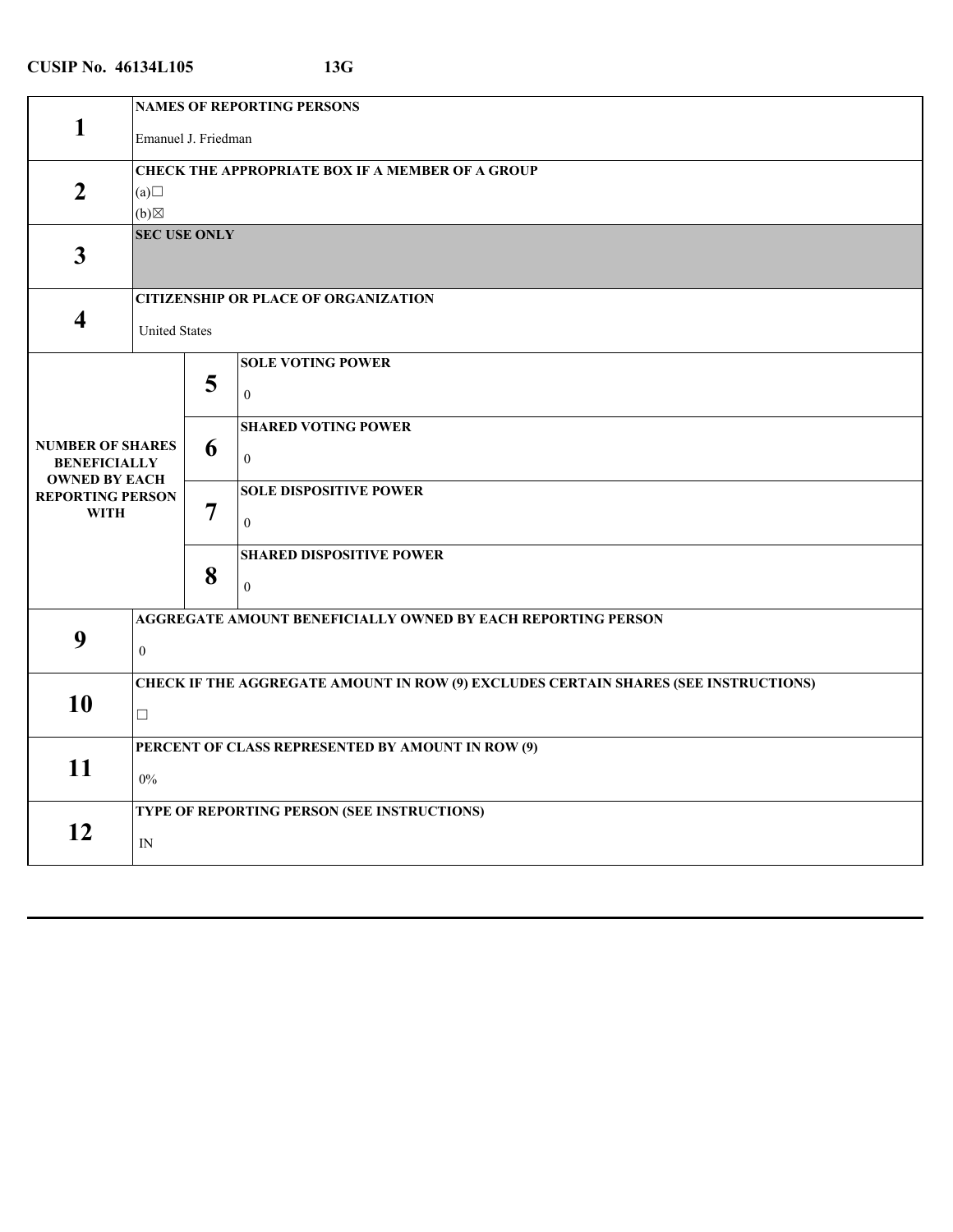|                                                                                                                  | <b>NAMES OF REPORTING PERSONS</b> |                  |                                                                                                                                                                                          |
|------------------------------------------------------------------------------------------------------------------|-----------------------------------|------------------|------------------------------------------------------------------------------------------------------------------------------------------------------------------------------------------|
| 1                                                                                                                | Emanuel J. Friedman               |                  |                                                                                                                                                                                          |
| $\overline{2}$                                                                                                   | (a)<br>$(b) \boxtimes$            |                  | <b>CHECK THE APPROPRIATE BOX IF A MEMBER OF A GROUP</b>                                                                                                                                  |
| $\mathbf{3}$                                                                                                     | <b>SEC USE ONLY</b>               |                  |                                                                                                                                                                                          |
|                                                                                                                  |                                   |                  | <b>CITIZENSHIP OR PLACE OF ORGANIZATION</b>                                                                                                                                              |
| 4                                                                                                                | <b>United States</b>              |                  |                                                                                                                                                                                          |
| <b>NUMBER OF SHARES</b><br><b>BENEFICIALLY</b><br><b>OWNED BY EACH</b><br><b>REPORTING PERSON</b><br><b>WITH</b> |                                   | 5<br>6<br>7<br>8 | <b>SOLE VOTING POWER</b><br>$\mathbf{0}$<br><b>SHARED VOTING POWER</b><br>$\mathbf{0}$<br><b>SOLE DISPOSITIVE POWER</b><br>$\theta$<br><b>SHARED DISPOSITIVE POWER</b><br>$\overline{0}$ |
| 9                                                                                                                | $\mathbf{0}$                      |                  | <b>AGGREGATE AMOUNT BENEFICIALLY OWNED BY EACH REPORTING PERSON</b>                                                                                                                      |
| 10                                                                                                               | $\Box$                            |                  | CHECK IF THE AGGREGATE AMOUNT IN ROW (9) EXCLUDES CERTAIN SHARES (SEE INSTRUCTIONS)                                                                                                      |
|                                                                                                                  |                                   |                  | PERCENT OF CLASS REPRESENTED BY AMOUNT IN ROW (9)                                                                                                                                        |
| 11                                                                                                               | $0\%$                             |                  |                                                                                                                                                                                          |
|                                                                                                                  |                                   |                  | TYPE OF REPORTING PERSON (SEE INSTRUCTIONS)                                                                                                                                              |
| 12                                                                                                               | ${\rm IN}$                        |                  |                                                                                                                                                                                          |
|                                                                                                                  |                                   |                  |                                                                                                                                                                                          |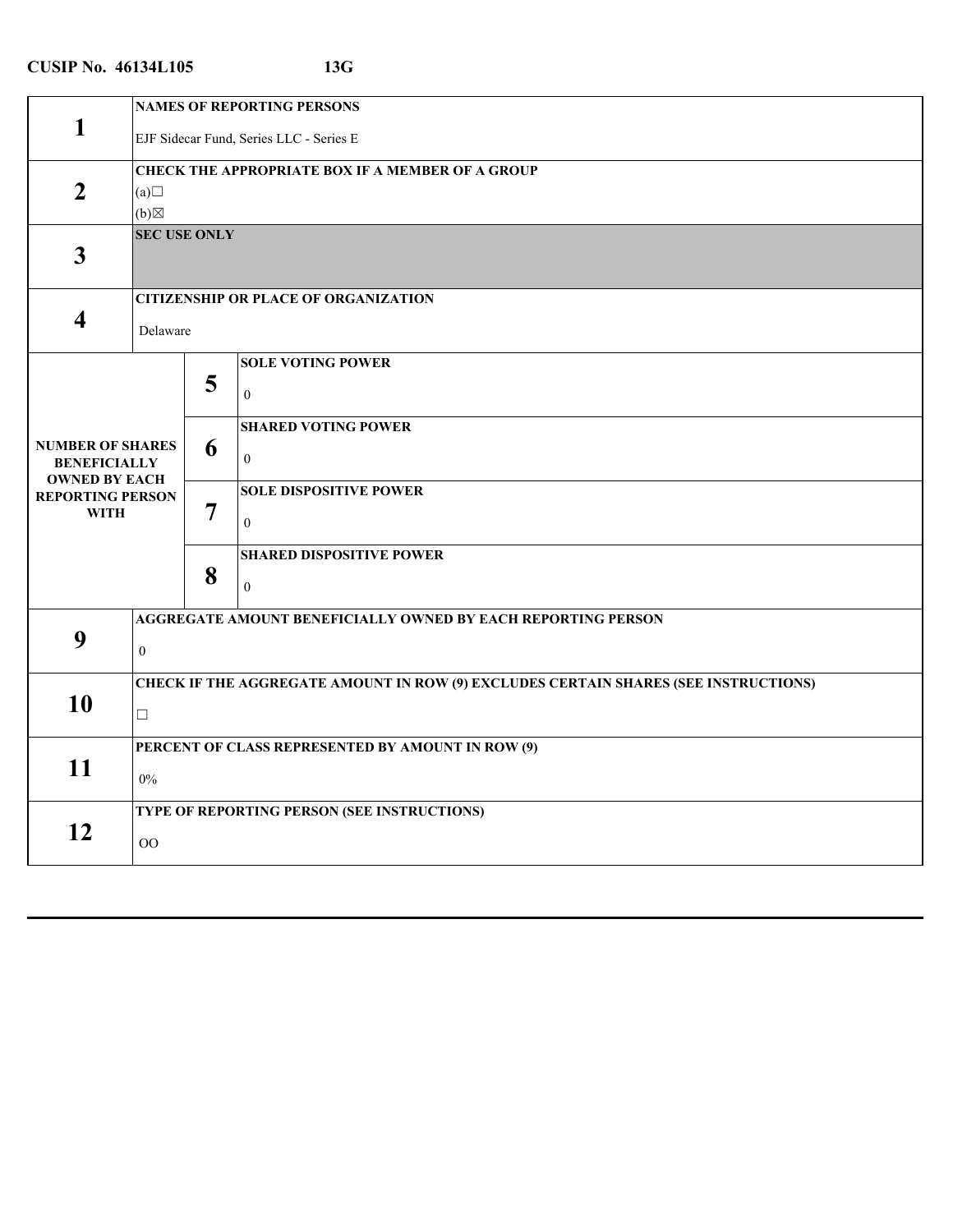|                                                                        | <b>NAMES OF REPORTING PERSONS</b> |                |                                                                                            |  |
|------------------------------------------------------------------------|-----------------------------------|----------------|--------------------------------------------------------------------------------------------|--|
| $\mathbf{1}$                                                           |                                   |                | EJF Sidecar Fund, Series LLC - Series E                                                    |  |
| $\overline{2}$                                                         | (a)<br>(b)                        |                | <b>CHECK THE APPROPRIATE BOX IF A MEMBER OF A GROUP</b>                                    |  |
| $\mathbf{3}$                                                           | <b>SEC USE ONLY</b>               |                |                                                                                            |  |
| $\overline{\mathbf{4}}$                                                | Delaware                          |                | <b>CITIZENSHIP OR PLACE OF ORGANIZATION</b>                                                |  |
|                                                                        |                                   | 5              | <b>SOLE VOTING POWER</b><br>$\overline{0}$                                                 |  |
| <b>NUMBER OF SHARES</b><br><b>BENEFICIALLY</b><br><b>OWNED BY EACH</b> |                                   | 6              | <b>SHARED VOTING POWER</b><br>$\overline{0}$                                               |  |
| <b>REPORTING PERSON</b><br><b>WITH</b>                                 |                                   | $\overline{7}$ | <b>SOLE DISPOSITIVE POWER</b><br>$\mathbf{0}$                                              |  |
|                                                                        |                                   | 8              | <b>SHARED DISPOSITIVE POWER</b><br>$\theta$                                                |  |
| 9                                                                      | $\mathbf{0}$                      |                | AGGREGATE AMOUNT BENEFICIALLY OWNED BY EACH REPORTING PERSON                               |  |
| 10                                                                     | $\Box$                            |                | <b>CHECK IF THE AGGREGATE AMOUNT IN ROW (9) EXCLUDES CERTAIN SHARES (SEE INSTRUCTIONS)</b> |  |
| 11                                                                     | $0\%$                             |                | PERCENT OF CLASS REPRESENTED BY AMOUNT IN ROW (9)                                          |  |
| 12                                                                     | OO                                |                | TYPE OF REPORTING PERSON (SEE INSTRUCTIONS)                                                |  |
|                                                                        |                                   |                |                                                                                            |  |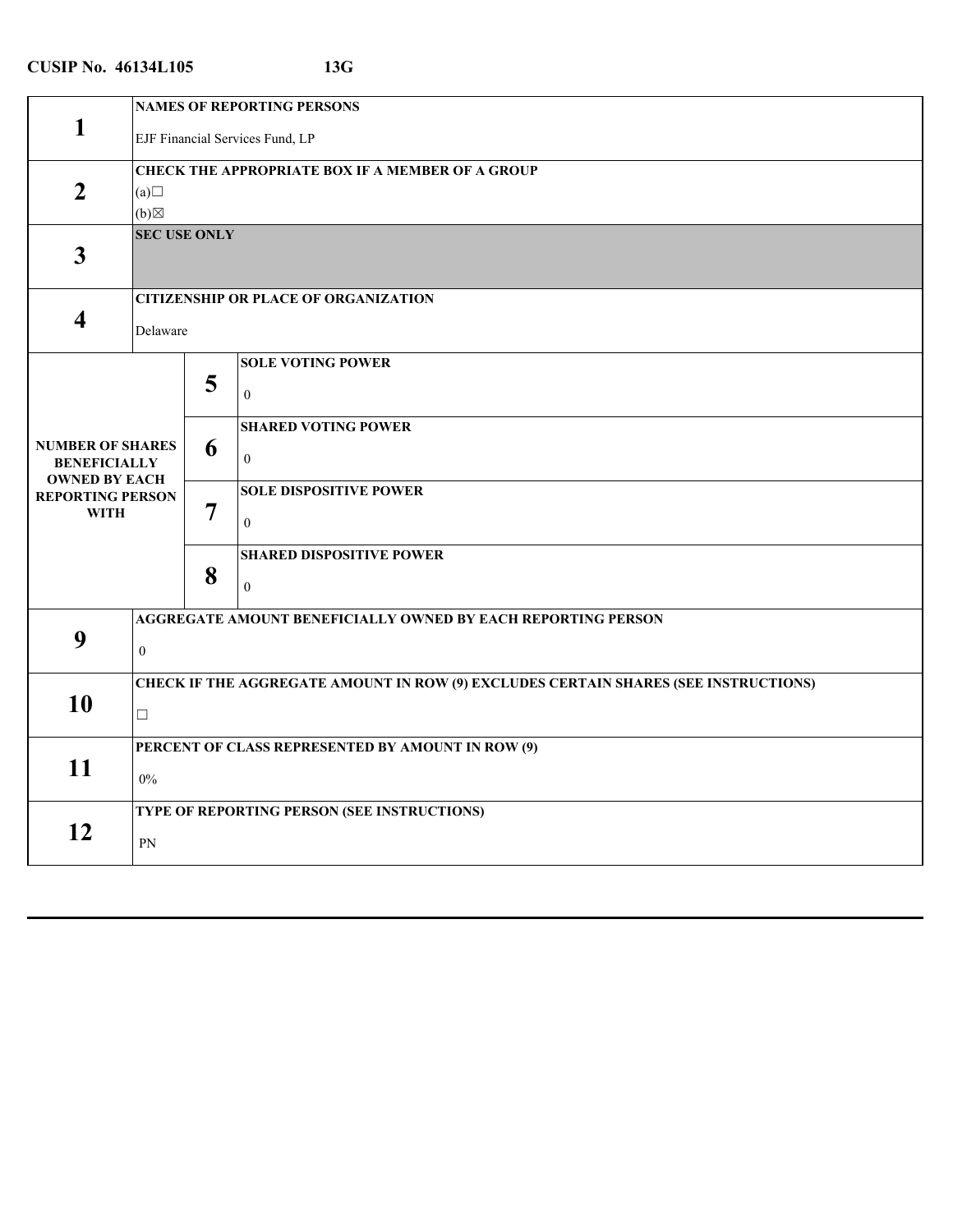| <b>NAMES OF REPORTING PERSONS</b><br>1<br>EJF Financial Services Fund, LP<br><b>CHECK THE APPROPRIATE BOX IF A MEMBER OF A GROUP</b><br>$\overline{2}$<br>(a)<br>$(b) \boxtimes$<br><b>SEC USE ONLY</b><br>$\overline{\mathbf{3}}$<br><b>CITIZENSHIP OR PLACE OF ORGANIZATION</b><br>$\overline{\mathbf{4}}$<br>Delaware<br><b>SOLE VOTING POWER</b><br>5<br>$\boldsymbol{0}$<br><b>SHARED VOTING POWER</b><br><b>NUMBER OF SHARES</b><br>6<br>$\mathbf{0}$<br><b>BENEFICIALLY</b><br><b>OWNED BY EACH</b><br><b>SOLE DISPOSITIVE POWER</b><br><b>REPORTING PERSON</b><br>7<br><b>WITH</b><br>$\mathbf{0}$<br><b>SHARED DISPOSITIVE POWER</b><br>8<br>$\theta$<br>AGGREGATE AMOUNT BENEFICIALLY OWNED BY EACH REPORTING PERSON<br>9<br>$\boldsymbol{0}$<br>CHECK IF THE AGGREGATE AMOUNT IN ROW (9) EXCLUDES CERTAIN SHARES (SEE INSTRUCTIONS)<br>10<br>$\Box$<br>PERCENT OF CLASS REPRESENTED BY AMOUNT IN ROW (9)<br>11<br>$0\%$<br>TYPE OF REPORTING PERSON (SEE INSTRUCTIONS)<br>12<br>${\rm PN}$ |  |  |  |
|-------------------------------------------------------------------------------------------------------------------------------------------------------------------------------------------------------------------------------------------------------------------------------------------------------------------------------------------------------------------------------------------------------------------------------------------------------------------------------------------------------------------------------------------------------------------------------------------------------------------------------------------------------------------------------------------------------------------------------------------------------------------------------------------------------------------------------------------------------------------------------------------------------------------------------------------------------------------------------------------------------|--|--|--|
|                                                                                                                                                                                                                                                                                                                                                                                                                                                                                                                                                                                                                                                                                                                                                                                                                                                                                                                                                                                                       |  |  |  |
|                                                                                                                                                                                                                                                                                                                                                                                                                                                                                                                                                                                                                                                                                                                                                                                                                                                                                                                                                                                                       |  |  |  |
|                                                                                                                                                                                                                                                                                                                                                                                                                                                                                                                                                                                                                                                                                                                                                                                                                                                                                                                                                                                                       |  |  |  |
|                                                                                                                                                                                                                                                                                                                                                                                                                                                                                                                                                                                                                                                                                                                                                                                                                                                                                                                                                                                                       |  |  |  |
|                                                                                                                                                                                                                                                                                                                                                                                                                                                                                                                                                                                                                                                                                                                                                                                                                                                                                                                                                                                                       |  |  |  |
|                                                                                                                                                                                                                                                                                                                                                                                                                                                                                                                                                                                                                                                                                                                                                                                                                                                                                                                                                                                                       |  |  |  |
|                                                                                                                                                                                                                                                                                                                                                                                                                                                                                                                                                                                                                                                                                                                                                                                                                                                                                                                                                                                                       |  |  |  |
|                                                                                                                                                                                                                                                                                                                                                                                                                                                                                                                                                                                                                                                                                                                                                                                                                                                                                                                                                                                                       |  |  |  |
|                                                                                                                                                                                                                                                                                                                                                                                                                                                                                                                                                                                                                                                                                                                                                                                                                                                                                                                                                                                                       |  |  |  |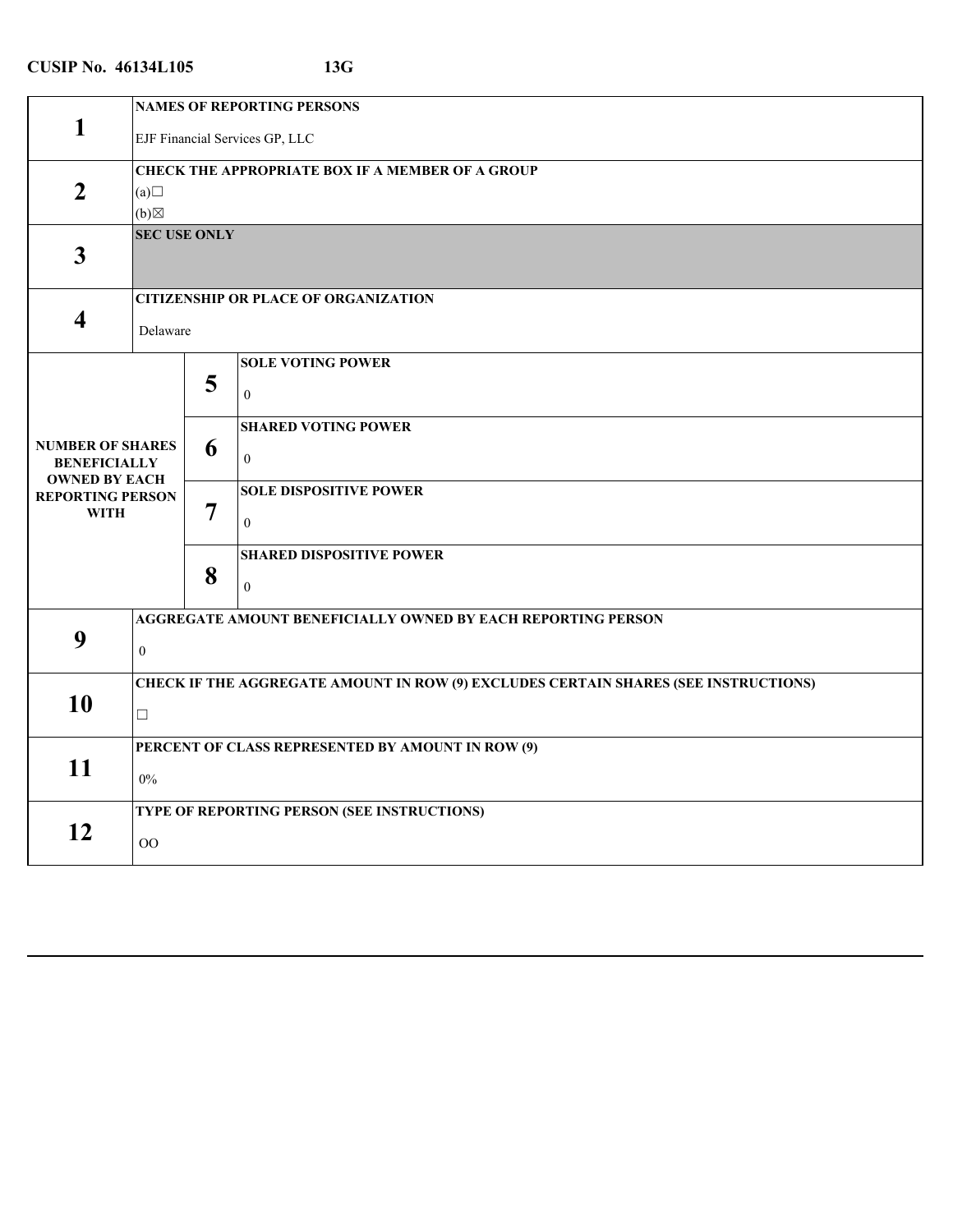| <b>NAMES OF REPORTING PERSONS</b><br>1<br>EJF Financial Services GP, LLC<br><b>CHECK THE APPROPRIATE BOX IF A MEMBER OF A GROUP</b><br>$\overline{2}$<br>(a)<br>$(b) \boxtimes$<br><b>SEC USE ONLY</b><br>$\overline{\mathbf{3}}$<br><b>CITIZENSHIP OR PLACE OF ORGANIZATION</b><br>$\overline{\mathbf{4}}$<br>Delaware<br><b>SOLE VOTING POWER</b><br>5<br>$\boldsymbol{0}$<br><b>SHARED VOTING POWER</b><br><b>NUMBER OF SHARES</b><br>6<br>$\mathbf{0}$<br><b>BENEFICIALLY</b><br><b>OWNED BY EACH</b><br><b>SOLE DISPOSITIVE POWER</b><br><b>REPORTING PERSON</b><br>7<br><b>WITH</b><br>$\mathbf{0}$<br><b>SHARED DISPOSITIVE POWER</b><br>8<br>$\theta$<br>AGGREGATE AMOUNT BENEFICIALLY OWNED BY EACH REPORTING PERSON<br>9<br>$\boldsymbol{0}$<br>CHECK IF THE AGGREGATE AMOUNT IN ROW (9) EXCLUDES CERTAIN SHARES (SEE INSTRUCTIONS)<br>10<br>$\Box$<br>PERCENT OF CLASS REPRESENTED BY AMOUNT IN ROW (9)<br>11<br>$0\%$<br>TYPE OF REPORTING PERSON (SEE INSTRUCTIONS)<br>12<br>OO |  |  |  |
|----------------------------------------------------------------------------------------------------------------------------------------------------------------------------------------------------------------------------------------------------------------------------------------------------------------------------------------------------------------------------------------------------------------------------------------------------------------------------------------------------------------------------------------------------------------------------------------------------------------------------------------------------------------------------------------------------------------------------------------------------------------------------------------------------------------------------------------------------------------------------------------------------------------------------------------------------------------------------------------------|--|--|--|
|                                                                                                                                                                                                                                                                                                                                                                                                                                                                                                                                                                                                                                                                                                                                                                                                                                                                                                                                                                                              |  |  |  |
|                                                                                                                                                                                                                                                                                                                                                                                                                                                                                                                                                                                                                                                                                                                                                                                                                                                                                                                                                                                              |  |  |  |
|                                                                                                                                                                                                                                                                                                                                                                                                                                                                                                                                                                                                                                                                                                                                                                                                                                                                                                                                                                                              |  |  |  |
|                                                                                                                                                                                                                                                                                                                                                                                                                                                                                                                                                                                                                                                                                                                                                                                                                                                                                                                                                                                              |  |  |  |
|                                                                                                                                                                                                                                                                                                                                                                                                                                                                                                                                                                                                                                                                                                                                                                                                                                                                                                                                                                                              |  |  |  |
|                                                                                                                                                                                                                                                                                                                                                                                                                                                                                                                                                                                                                                                                                                                                                                                                                                                                                                                                                                                              |  |  |  |
|                                                                                                                                                                                                                                                                                                                                                                                                                                                                                                                                                                                                                                                                                                                                                                                                                                                                                                                                                                                              |  |  |  |
|                                                                                                                                                                                                                                                                                                                                                                                                                                                                                                                                                                                                                                                                                                                                                                                                                                                                                                                                                                                              |  |  |  |
|                                                                                                                                                                                                                                                                                                                                                                                                                                                                                                                                                                                                                                                                                                                                                                                                                                                                                                                                                                                              |  |  |  |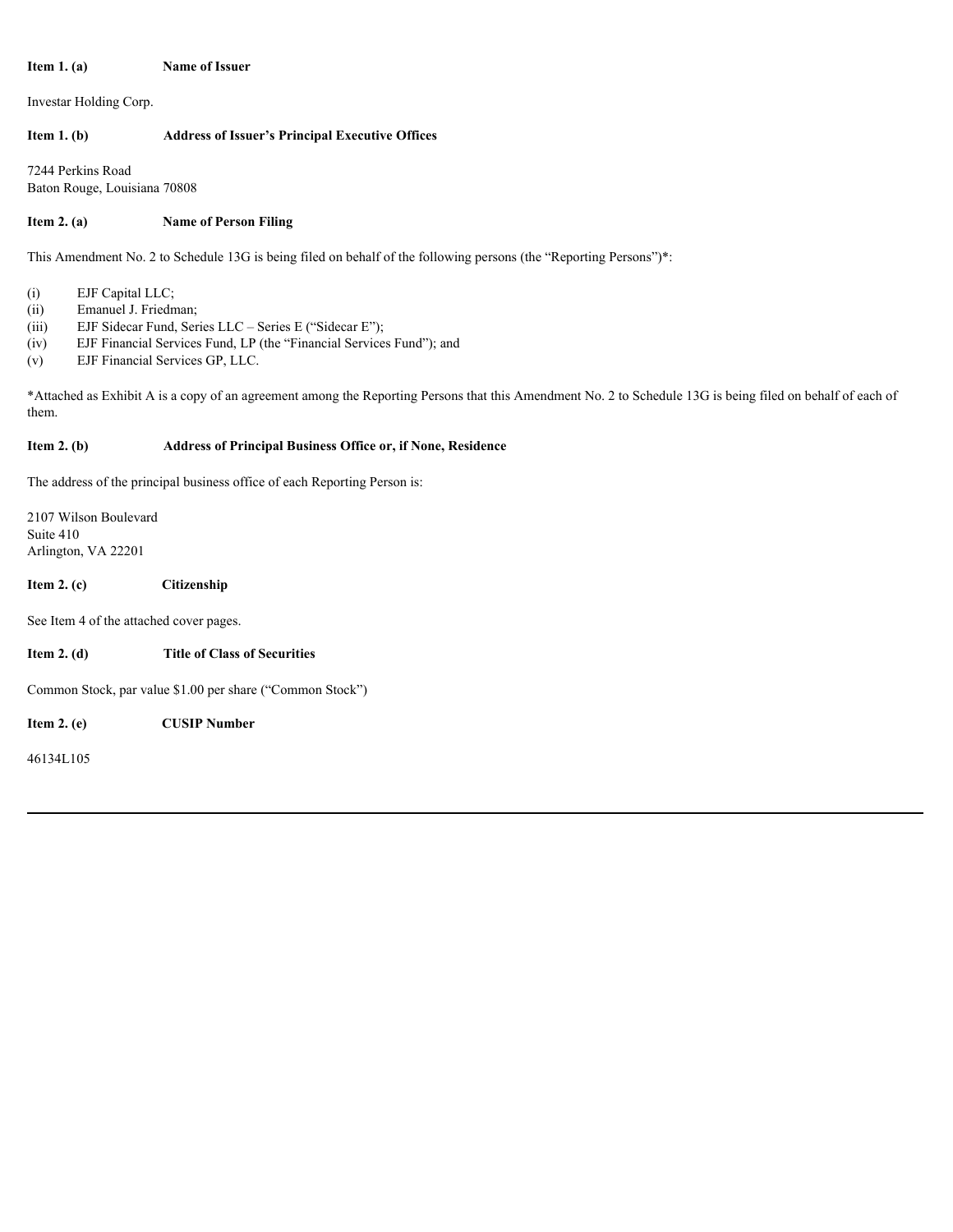#### **Item 1. (a)** Name of Issuer

Investar Holding Corp.

# **Item 1. (b) Address of Issuer's Principal Executive Offices**

7244 Perkins Road Baton Rouge, Louisiana 70808

# **Item 2. (a)** Name of Person Filing

This Amendment No. 2 to Schedule 13G is being filed on behalf of the following persons (the "Reporting Persons")\*:

- (i) EJF Capital LLC;
- (ii) Emanuel J. Friedman;
- (iii) EJF Sidecar Fund, Series LLC Series E ("Sidecar E");
- (iv) EJF Financial Services Fund, LP (the "Financial Services Fund"); and
- (v) EJF Financial Services GP, LLC.

\*Attached as Exhibit A is a copy of an agreement among the Reporting Persons that this Amendment No. 2 to Schedule 13G is being filed on behalf of each of them.

# **Item 2. (b) Address of Principal Business Office or, if None, Residence**

The address of the principal business office of each Reporting Person is:

2107 Wilson Boulevard Suite 410 Arlington, VA 22201

# **Item 2. (c) Citizenship**

See Item 4 of the attached cover pages.

**Item 2. (d) Title of Class of Securities**

Common Stock, par value \$1.00 per share ("Common Stock")

**Item 2. (e) CUSIP Number**

46134L105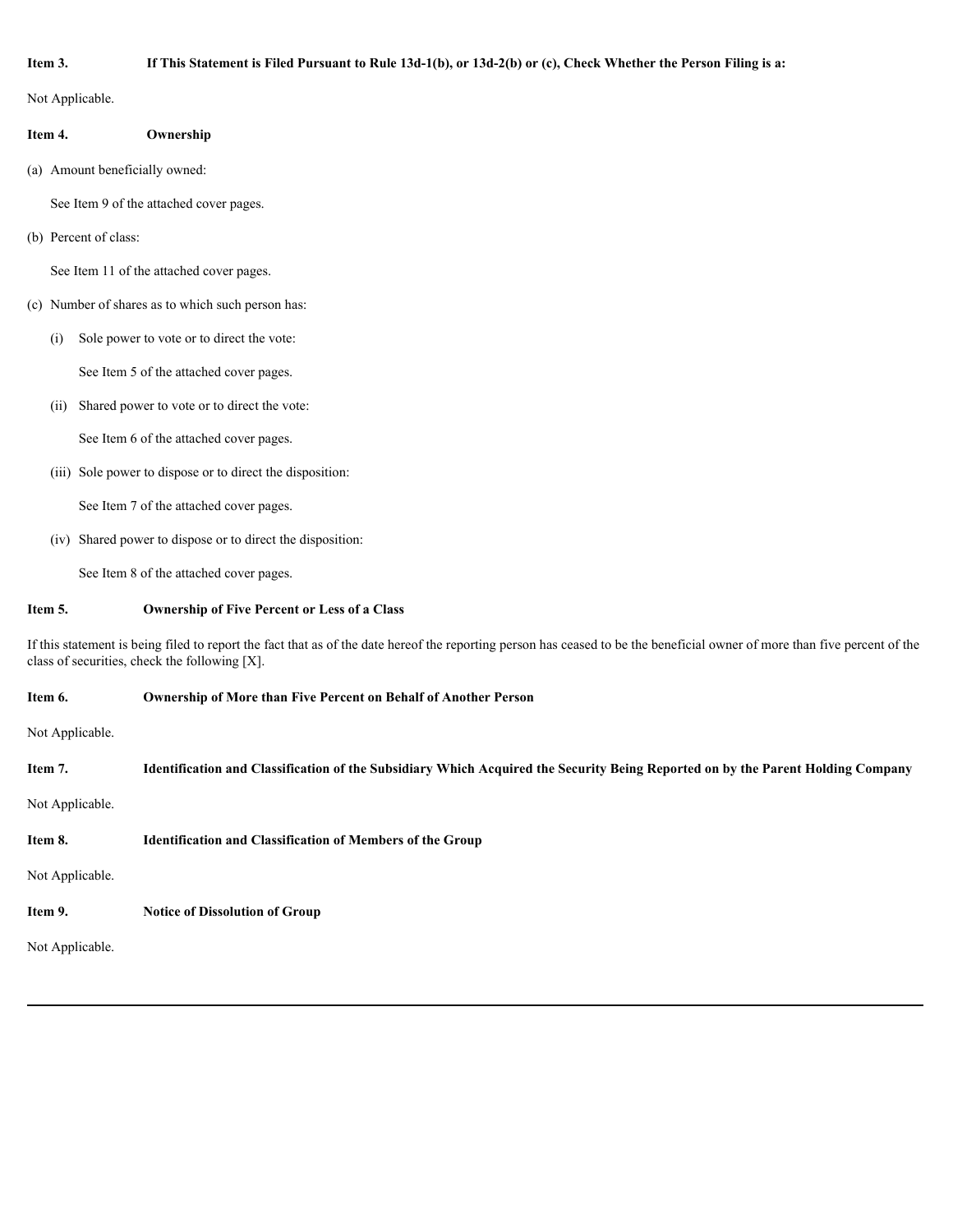## **Item 3. If This Statement is Filed Pursuant to Rule 13d-1(b), or 13d-2(b) or (c), Check Whether the Person Filing is a:**

Not Applicable.

| Ownership |  |
|-----------|--|
|           |  |

(a) Amount beneficially owned:

See Item 9 of the attached cover pages.

(b) Percent of class:

See Item 11 of the attached cover pages.

- (c) Number of shares as to which such person has:
	- (i) Sole power to vote or to direct the vote:

See Item 5 of the attached cover pages.

(ii) Shared power to vote or to direct the vote:

See Item 6 of the attached cover pages.

(iii) Sole power to dispose or to direct the disposition:

See Item 7 of the attached cover pages.

(iv) Shared power to dispose or to direct the disposition:

See Item 8 of the attached cover pages.

# **Item 5. Ownership of Five Percent or Less of a Class**

If this statement is being filed to report the fact that as of the date hereof the reporting person has ceased to be the beneficial owner of more than five percent of the class of securities, check the following [X].

## **Item 6. Ownership of More than Five Percent on Behalf of Another Person**

Not Applicable.

| Item 7.         | Identification and Classification of the Subsidiary Which Acquired the Security Being Reported on by the Parent Holding Company |
|-----------------|---------------------------------------------------------------------------------------------------------------------------------|
| Not Applicable. |                                                                                                                                 |
| Item 8.         | <b>Identification and Classification of Members of the Group</b>                                                                |
| Not Applicable. |                                                                                                                                 |
| Item 9.         | <b>Notice of Dissolution of Group</b>                                                                                           |
| Not Applicable. |                                                                                                                                 |
|                 |                                                                                                                                 |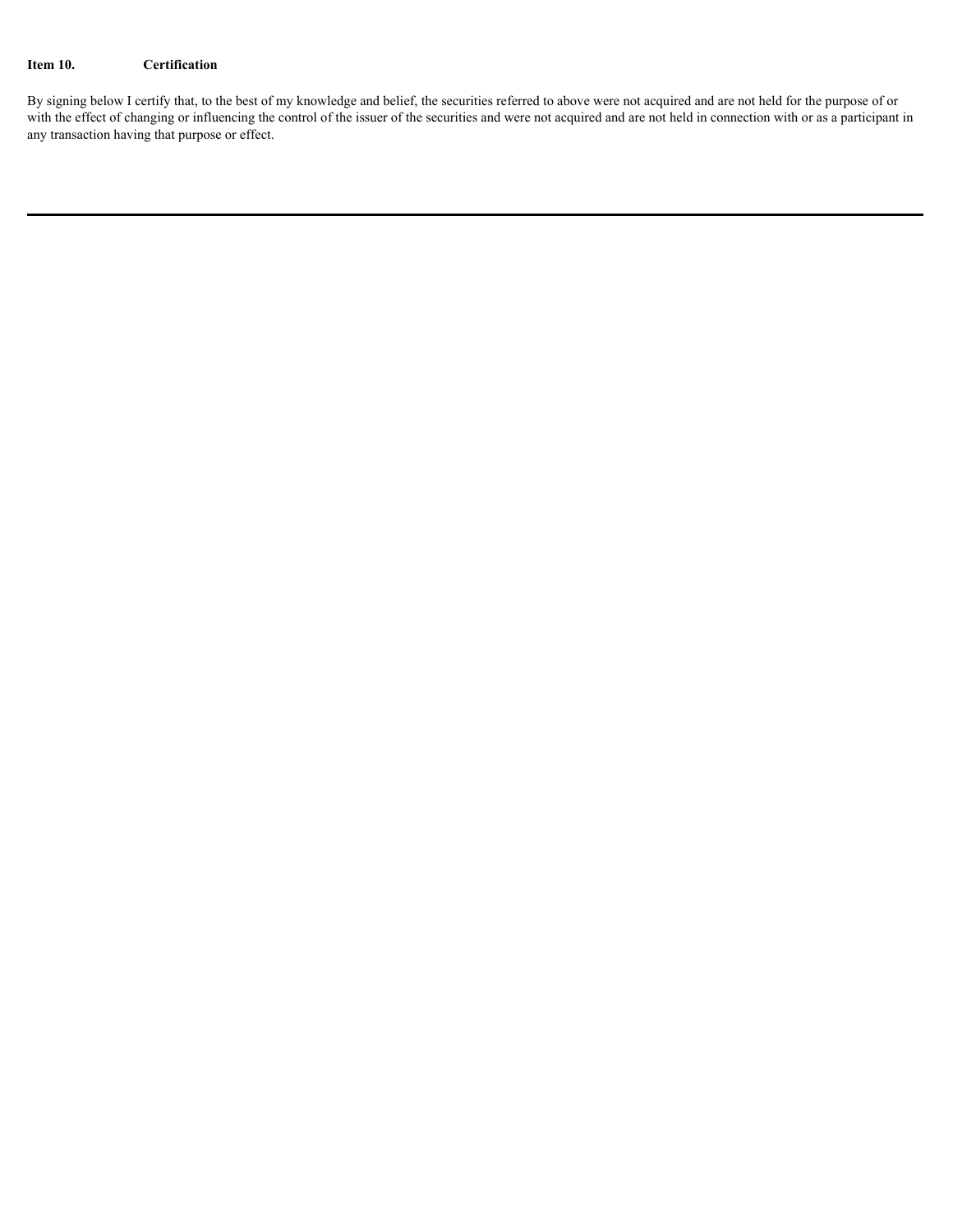## **Item 10. Certification**

By signing below I certify that, to the best of my knowledge and belief, the securities referred to above were not acquired and are not held for the purpose of or with the effect of changing or influencing the control of the issuer of the securities and were not acquired and are not held in connection with or as a participant in any transaction having that purpose or effect.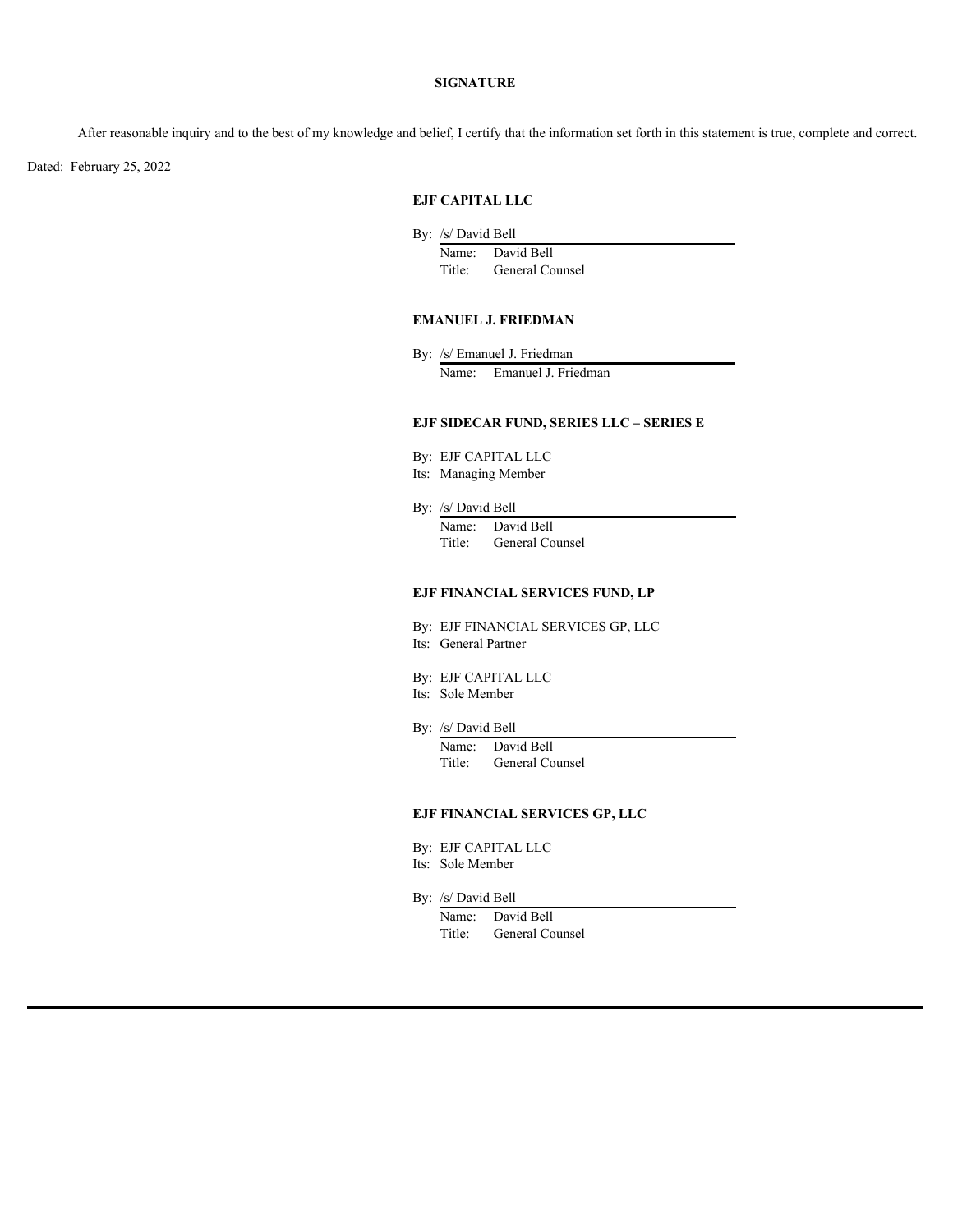#### **SIGNATURE**

After reasonable inquiry and to the best of my knowledge and belief, I certify that the information set forth in this statement is true, complete and correct.

Dated: February 25, 2022

#### **EJF CAPITAL LLC**

- By: /s/ David Bell
	- Name: David Bell Title: General Counsel

## **EMANUEL J. FRIEDMAN**

By: /s/ Emanuel J. Friedman Name: Emanuel J. Friedman

#### **EJF SIDECAR FUND, SERIES LLC – SERIES E**

- By: EJF CAPITAL LLC
- Its: Managing Member
- By: /s/ David Bell

Name: David Bell Title: General Counsel

## **EJF FINANCIAL SERVICES FUND, LP**

- By: EJF FINANCIAL SERVICES GP, LLC Its: General Partner
- By: EJF CAPITAL LLC
- Its: Sole Member
- By: /s/ David Bell
	- Name: David Bell Title: General Counsel

#### **EJF FINANCIAL SERVICES GP, LLC**

- By: EJF CAPITAL LLC
- Its: Sole Member
- By: /s/ David Bell
	- Name: David Bell Title: General Counsel